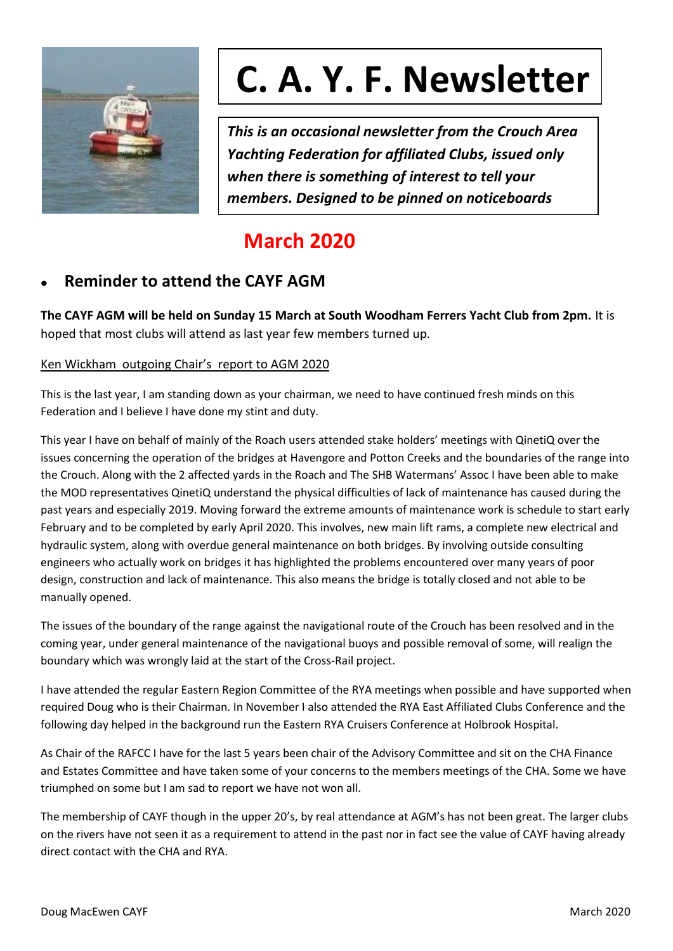

# **C. A. Y. F. Newsletter**

*This is an occasional newsletter from the Crouch Area Yachting Federation for affiliated Clubs, issued only when there is something of interest to tell your members. Designed to be pinned on noticeboards*

# **March 2020**

# ⚫ **Reminder to attend the CAYF AGM**

**The CAYF AGM will be held on Sunday 15 March at South Woodham Ferrers Yacht Club from 2pm.** It is hoped that most clubs will attend as last year few members turned up.

## Ken Wickham outgoing Chair's report to AGM 2020

This is the last year, I am standing down as your chairman, we need to have continued fresh minds on this Federation and I believe I have done my stint and duty.

This year I have on behalf of mainly of the Roach users attended stake holders' meetings with QinetiQ over the issues concerning the operation of the bridges at Havengore and Potton Creeks and the boundaries of the range into the Crouch. Along with the 2 affected yards in the Roach and The SHB Watermans' Assoc I have been able to make the MOD representatives QinetiQ understand the physical difficulties of lack of maintenance has caused during the past years and especially 2019. Moving forward the extreme amounts of maintenance work is schedule to start early February and to be completed by early April 2020. This involves, new main lift rams, a complete new electrical and hydraulic system, along with overdue general maintenance on both bridges. By involving outside consulting engineers who actually work on bridges it has highlighted the problems encountered over many years of poor design, construction and lack of maintenance. This also means the bridge is totally closed and not able to be manually opened.

The issues of the boundary of the range against the navigational route of the Crouch has been resolved and in the coming year, under general maintenance of the navigational buoys and possible removal of some, will realign the boundary which was wrongly laid at the start of the Cross-Rail project.

I have attended the regular Eastern Region Committee of the RYA meetings when possible and have supported when required Doug who is their Chairman. In November I also attended the RYA East Affiliated Clubs Conference and the following day helped in the background run the Eastern RYA Cruisers Conference at Holbrook Hospital.

As Chair of the RAFCC I have for the last 5 years been chair of the Advisory Committee and sit on the CHA Finance and Estates Committee and have taken some of your concerns to the members meetings of the CHA. Some we have triumphed on some but I am sad to report we have not won all.

The membership of CAYF though in the upper 20's, by real attendance at AGM's has not been great. The larger clubs on the rivers have not seen it as a requirement to attend in the past nor in fact see the value of CAYF having already direct contact with the CHA and RYA.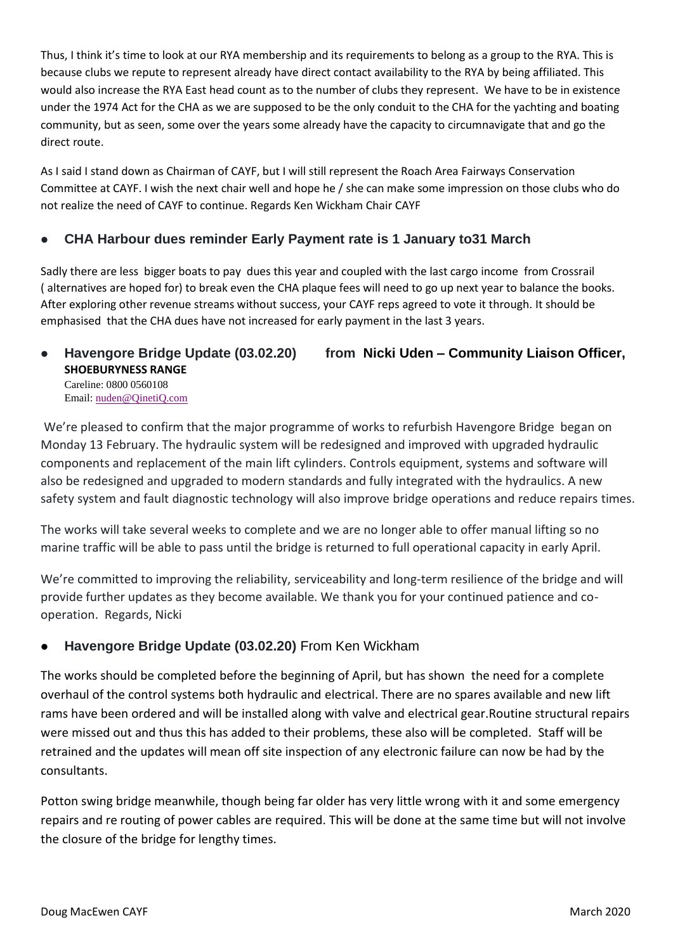Thus, I think it's time to look at our RYA membership and its requirements to belong as a group to the RYA. This is because clubs we repute to represent already have direct contact availability to the RYA by being affiliated. This would also increase the RYA East head count as to the number of clubs they represent. We have to be in existence under the 1974 Act for the CHA as we are supposed to be the only conduit to the CHA for the yachting and boating community, but as seen, some over the years some already have the capacity to circumnavigate that and go the direct route.

As I said I stand down as Chairman of CAYF, but I will still represent the Roach Area Fairways Conservation Committee at CAYF. I wish the next chair well and hope he / she can make some impression on those clubs who do not realize the need of CAYF to continue. Regards Ken Wickham Chair CAYF

# ⚫ **CHA Harbour dues reminder Early Payment rate is 1 January to31 March**

Sadly there are less bigger boats to pay dues this year and coupled with the last cargo income from Crossrail ( alternatives are hoped for) to break even the CHA plaque fees will need to go up next year to balance the books. After exploring other revenue streams without success, your CAYF reps agreed to vote it through. It should be emphasised that the CHA dues have not increased for early payment in the last 3 years.

#### ⚫ **Havengore Bridge Update (03.02.20) from Nicki Uden – Community Liaison Officer, SHOEBURYNESS RANGE** Careline: 0800 0560108 Email: [nuden@QinetiQ.com](mailto:nuden@QinetiQ.com)

We're pleased to confirm that the major programme of works to refurbish Havengore Bridge began on Monday 13 February. The hydraulic system will be redesigned and improved with upgraded hydraulic components and replacement of the main lift cylinders. Controls equipment, systems and software will also be redesigned and upgraded to modern standards and fully integrated with the hydraulics. A new safety system and fault diagnostic technology will also improve bridge operations and reduce repairs times.

The works will take several weeks to complete and we are no longer able to offer manual lifting so no marine traffic will be able to pass until the bridge is returned to full operational capacity in early April.

We're committed to improving the reliability, serviceability and long-term resilience of the bridge and will provide further updates as they become available. We thank you for your continued patience and cooperation. Regards, Nicki

# ⚫ **Havengore Bridge Update (03.02.20)** From Ken Wickham

The works should be completed before the beginning of April, but has shown the need for a complete overhaul of the control systems both hydraulic and electrical. There are no spares available and new lift rams have been ordered and will be installed along with valve and electrical gear.Routine structural repairs were missed out and thus this has added to their problems, these also will be completed. Staff will be retrained and the updates will mean off site inspection of any electronic failure can now be had by the consultants.

Potton swing bridge meanwhile, though being far older has very little wrong with it and some emergency repairs and re routing of power cables are required. This will be done at the same time but will not involve the closure of the bridge for lengthy times.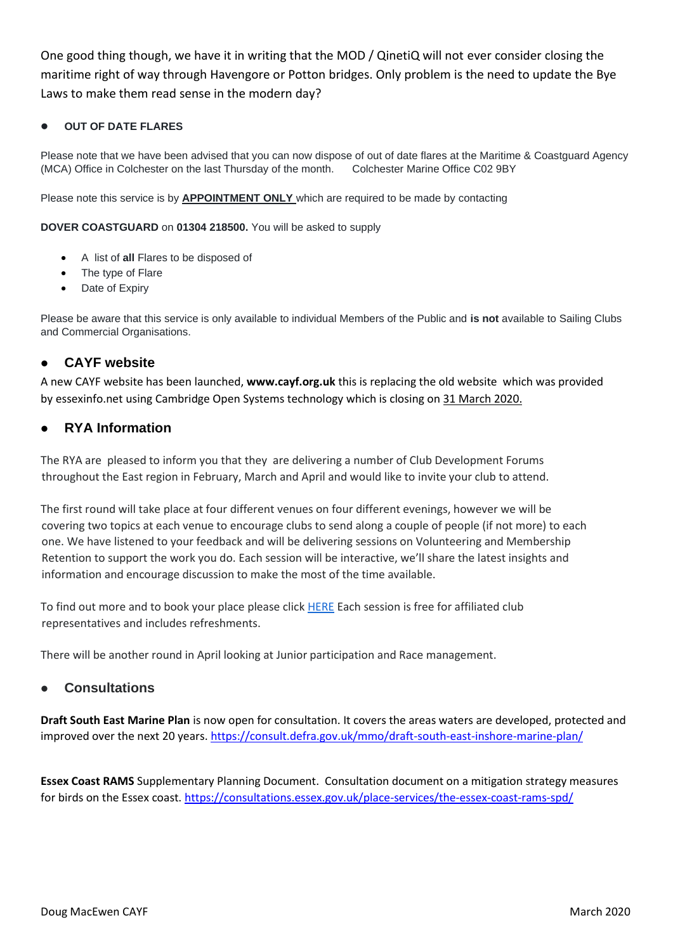One good thing though, we have it in writing that the MOD / QinetiQ will not ever consider closing the maritime right of way through Havengore or Potton bridges. Only problem is the need to update the Bye Laws to make them read sense in the modern day?

#### ⚫ **OUT OF DATE FLARES**

Please note that we have been advised that you can now dispose of out of date flares at the Maritime & Coastguard Agency (MCA) Office in Colchester on the last Thursday of the month. Colchester Marine Office C02 9BY

Please note this service is by **APPOINTMENT ONLY** which are required to be made by contacting

**DOVER COASTGUARD** on **01304 218500.** You will be asked to supply

- A list of **all** Flares to be disposed of
- The type of Flare
- Date of Expiry

Please be aware that this service is only available to individual Members of the Public and **is not** available to Sailing Clubs and Commercial Organisations.

### ⚫ **CAYF website**

A new CAYF website has been launched, **www.cayf.org.uk** this is replacing the old website which was provided by [essexinfo.net](https://www.essexinfo.net/) using [Cambridge Open Systems](http://cambridgeopensystems.com/) technology which is closing on 31 March 2020.

### ⚫ **RYA Information**

The RYA are pleased to inform you that they are delivering a number of Club Development Forums throughout the East region in February, March and April and would like to invite your club to attend.

The first round will take place at four different venues on four different evenings, however we will be covering two topics at each venue to encourage clubs to send along a couple of people (if not more) to each one. We have listened to your feedback and will be delivering sessions on Volunteering and Membership Retention to support the work you do. Each session will be interactive, we'll share the latest insights and information and encourage discussion to make the most of the time available.

To find out more and to book your place please click [HERE](https://www.rya.org.uk/newsevents/events/Pages/rya-east-club-development-workshops-.aspx) Each session is free for affiliated club representatives and includes refreshments.

There will be another round in April looking at Junior participation and Race management.

#### ⚫ **Consultations**

**Draft South East Marine Plan** is now open for consultation. It covers the areas waters are developed, protected and improved over the next 20 years.<https://consult.defra.gov.uk/mmo/draft-south-east-inshore-marine-plan/>

**Essex Coast RAMS** Supplementary Planning Document. Consultation document on a mitigation strategy measures for birds on the Essex coast.<https://consultations.essex.gov.uk/place-services/the-essex-coast-rams-spd/>